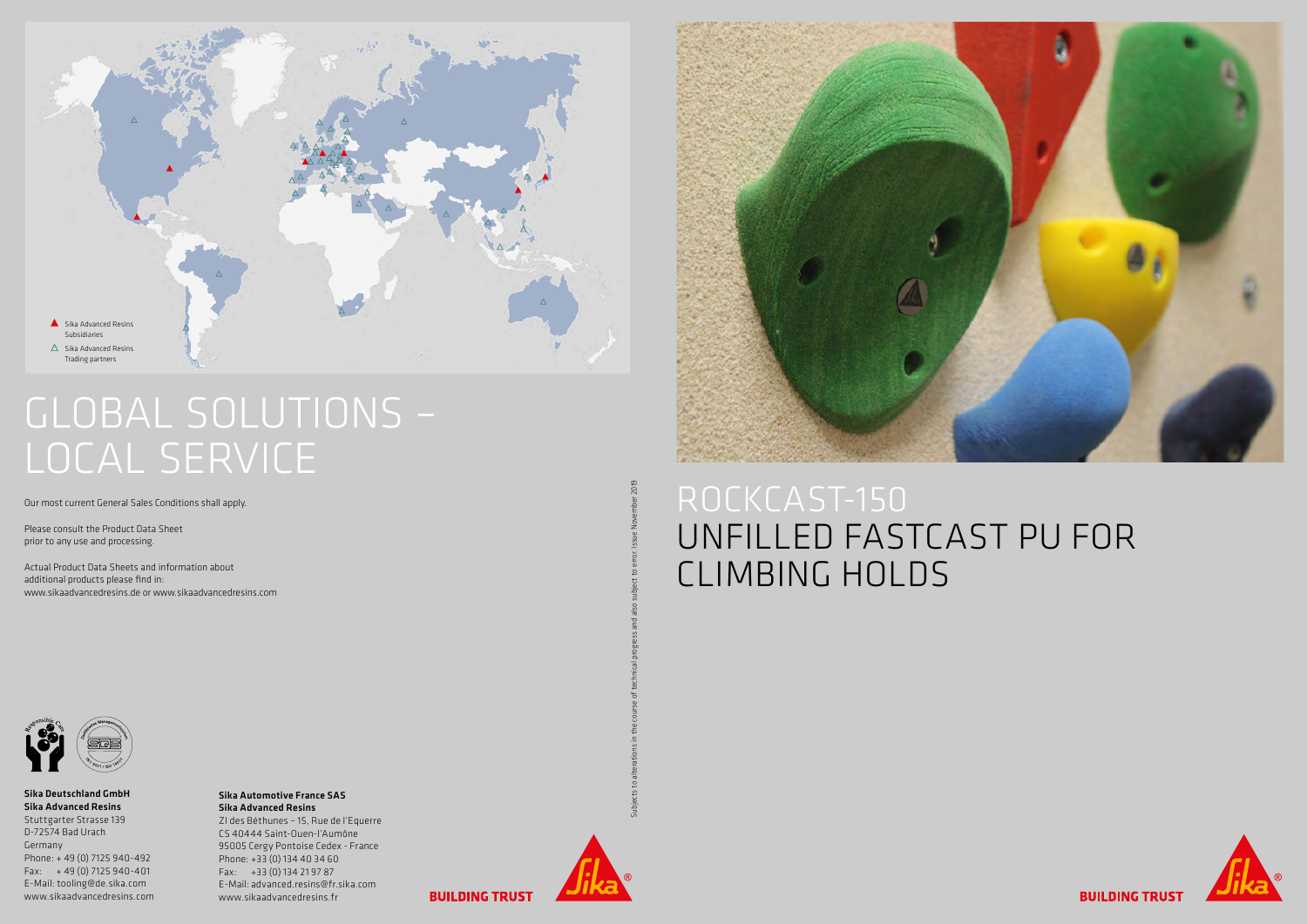

## GLOBAL SOLUTIONS – LOCAL SERVICE

Our most current General Sales Conditions shall apply.

Please consult the Product Data Sheet prior to any use and processing.

Actual Product Data Sheets and information about additional products please find in: www.sikaadvancedresins.de or www.sikaadvancedresins.com



#### Sika Deutschland GmbH Sika Advanced Resins Stuttgarter Strasse 139 D-72574 Bad Urach Germany Phone: + 49 (0) 7125 940-492 Fax: + 49 (0) 7125 940-401 E-Mail: tooling@de.sika.com

www.sikaadvancedresins.com

#### Sika Automotive France SAS Sika Advanced Resins

ZI des Béthunes – 15, Rue de l'Equerre CS 40444 Saint-Ouen-l'Aumône 95005 Cergy Pontoise Cedex - France Phone: +33 (0) 134 40 34 60 Fax: +33 (0) 134 21 97 87 E-Mail: advanced.resins@fr.sika.com www.sikaadvancedresins.fr



Subjects to alterations in the course of technical progress and also subject to error. Issue November 2019



# UNFILLED FASTCAST PU FOR CLIMBING HOLDS